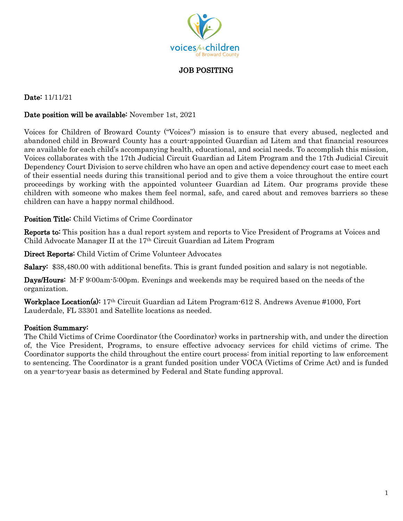

JOB POSITING

### Date: 11/11/21

#### Date position will be available: November 1st, 2021

Voices for Children of Broward County ("Voices") mission is to ensure that every abused, neglected and abandoned child in Broward County has a court-appointed Guardian ad Litem and that financial resources are available for each child's accompanying health, educational, and social needs. To accomplish this mission, Voices collaborates with the 17th Judicial Circuit Guardian ad Litem Program and the 17th Judicial Circuit Dependency Court Division to serve children who have an open and active dependency court case to meet each of their essential needs during this transitional period and to give them a voice throughout the entire court proceedings by working with the appointed volunteer Guardian ad Litem. Our programs provide these children with someone who makes them feel normal, safe, and cared about and removes barriers so these children can have a happy normal childhood.

Position Title: Child Victims of Crime Coordinator

Reports to: This position has a dual report system and reports to Vice President of Programs at Voices and Child Advocate Manager II at the 17th Circuit Guardian ad Litem Program

Direct Reports: Child Victim of Crime Volunteer Advocates

Salary: \$38,480.00 with additional benefits. This is grant funded position and salary is not negotiable.

Days/Hours: M-F 9:00am-5:00pm. Evenings and weekends may be required based on the needs of the organization.

Workplace Location(s): 17th Circuit Guardian ad Litem Program-612 S. Andrews Avenue #1000, Fort Lauderdale, FL 33301 and Satellite locations as needed.

#### Position Summary:

The Child Victims of Crime Coordinator (the Coordinator) works in partnership with, and under the direction of, the Vice President, Programs, to ensure effective advocacy services for child victims of crime. The Coordinator supports the child throughout the entire court process: from initial reporting to law enforcement to sentencing. The Coordinator is a grant funded position under VOCA (Victims of Crime Act) and is funded on a year-to-year basis as determined by Federal and State funding approval.